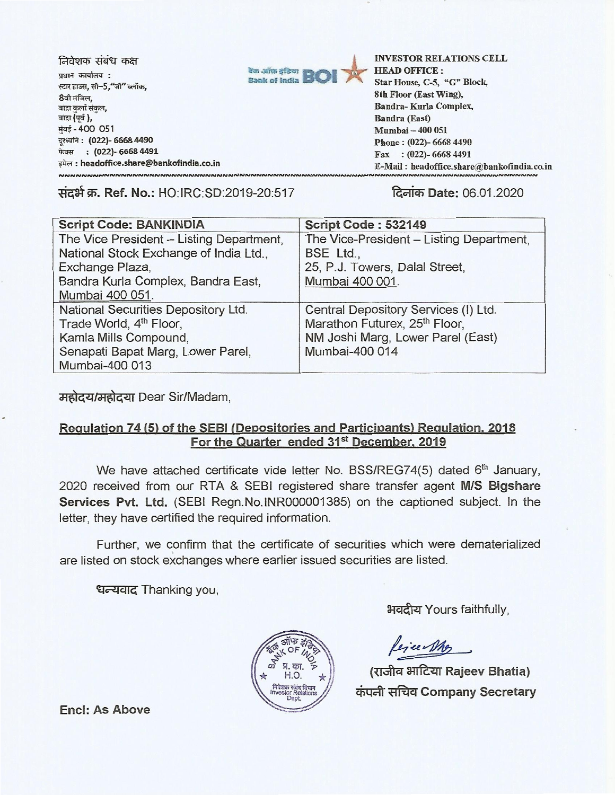निवेशक संबंध कक्ष प्रधान कार्यालय: स्टार हाउस, सी–5,"जी" ब्लॉक,<br>8वी मंजिल, बांद्रा कुर्ला संकुल, बांद्रा (पूर्व), मंबई - 400 051 दरध्वनि: (022)- 6668 4490 फेक्स: (022)- 6668 4491 इमेल : headoffice.share@bankofindia.co.in



INVESTOR RELATIONS CELL HEAD OFFICE : Star House, C-5, "G" Block, 8th Floor (East Wing), Bandra- Kurla Complex, Bandra (East) Mumbai —400 051 Phone : (022)- 6668 4490 Fax : (022)- 6668 4491 E-Mail : headoffice.share(a)bankofindia.co.in

**Tial\*W. Ref. No.:** HO:IRC:SD:2019-20:517 **litaiW Date:** 06.01.2020

| <b>Script Code: BANKINDIA</b>            | Script Code: 532149                       |
|------------------------------------------|-------------------------------------------|
| The Vice President - Listing Department, | The Vice-President - Listing Department,  |
| National Stock Exchange of India Ltd.,   | BSE Ltd.,                                 |
| Exchange Plaza,                          | 25, P.J. Towers, Dalal Street,            |
| Bandra Kurla Complex, Bandra East,       | Mumbai 400 001.                           |
| Mumbai 400 051.                          |                                           |
| National Securities Depository Ltd.      | Central Depository Services (I) Ltd.      |
| Trade World, 4 <sup>th</sup> Floor,      | Marathon Futurex, 25 <sup>th</sup> Floor, |
| Kamla Mills Compound,                    | NM Joshi Marg, Lower Parel (East)         |
| Senapati Bapat Marg, Lower Parel,        | Mumbai-400 014                            |
| Mumbai-400 013                           |                                           |

**gciOf--Zild-lti)4e41** Dear Sir/Madam,

## **Regulation 74 (5) of the SEBI (Depositories and Participants) Regulation. 2018**  For the Quarter ended 31<sup>st</sup> December, 2019

We have attached certificate vide letter No. BSS/REG74(5) dated 6<sup>th</sup> January, 2020 received from our RTA & SEBI registered share transfer agent **M/S Bigshare Services Pvt. Ltd.** (SEBI Regn.No.INR000001385) on the captioned subject. In the letter, they have certified the required information.

Further, we confirm that the certificate of securities which were dematerialized are listed on stock exchanges where earlier issued securities are listed.

धन्यवाद Thanking you,



भवदीय Yours faithfully,

lejeen Mg

**(iTAI4 3-TritzIT Rajeev Bhatia) ci Company Secretary** 

**Encl: As Above**